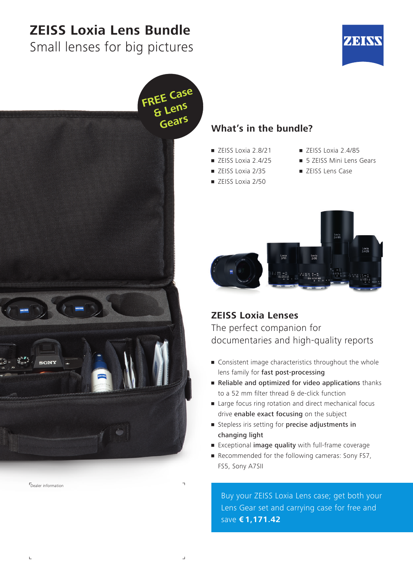# **ZEISS Loxia Lens Bundle**

Small lenses for big pictures





Dealer information

 $\mathbf{L}$ 

#### **What's in the bundle?**

- $\blacksquare$  ZEISS Loxia 2.8/21
- ZEISS Loxia 2.4/25
- ZEISS Loxia 2/35
- ZEISS Loxia 2/50
- $\blacksquare$  ZEISS Loxia 2.4/85
- **5 ZEISS Mini Lens Gears**
- ZEISS Lens Case



#### **ZEISS Loxia Lenses**

The perfect companion for documentaries and high-quality reports

- Consistent image characteristics throughout the whole lens family for fast post-processing
- Reliable and optimized for video applications thanks to a 52 mm filter thread & de-click function
- Large focus ring rotation and direct mechanical focus drive enable exact focusing on the subject
- **Exercise** Stepless iris setting for precise adjustments in changing light
- Exceptional image quality with full-frame coverage
- **Recommended for the following cameras: Sony FS7,** FS5, Sony A7SII

Buy your ZEISS Loxia Lens case; get both your Lens Gear set and carrying case for free and save **€ 1,171.42**